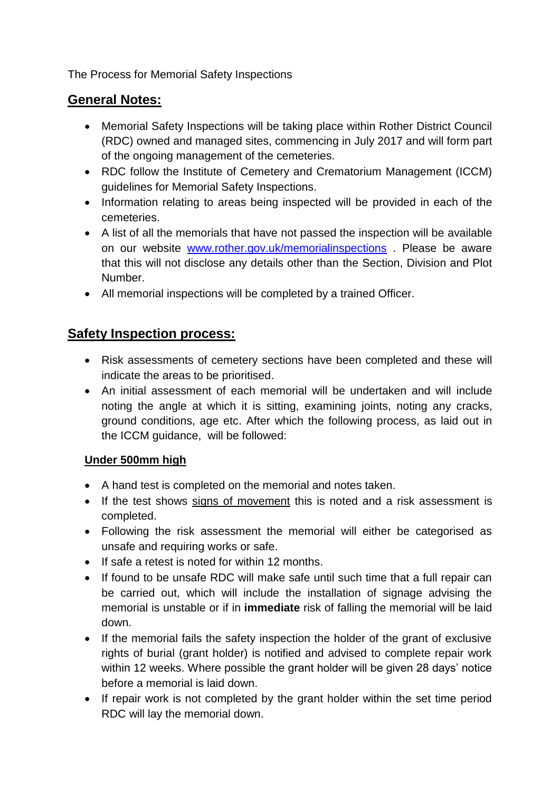The Process for Memorial Safety Inspections

## **General Notes:**

- Memorial Safety Inspections will be taking place within Rother District Council (RDC) owned and managed sites, commencing in July 2017 and will form part of the ongoing management of the cemeteries.
- RDC follow the Institute of Cemetery and Crematorium Management (ICCM) guidelines for Memorial Safety Inspections.
- Information relating to areas being inspected will be provided in each of the cemeteries.
- A list of all the memorials that have not passed the inspection will be available on our website [www.rother.gov.uk/memorialinspections](http://www.rother.gov.uk/memorialinspections) . Please be aware that this will not disclose any details other than the Section, Division and Plot Number.
- All memorial inspections will be completed by a trained Officer.

# **Safety Inspection process:**

- Risk assessments of cemetery sections have been completed and these will indicate the areas to be prioritised.
- An initial assessment of each memorial will be undertaken and will include noting the angle at which it is sitting, examining joints, noting any cracks, ground conditions, age etc. After which the following process, as laid out in the ICCM guidance, will be followed:

## **Under 500mm high**

- A hand test is completed on the memorial and notes taken.
- If the test shows signs of movement this is noted and a risk assessment is completed.
- Following the risk assessment the memorial will either be categorised as unsafe and requiring works or safe.
- If safe a retest is noted for within 12 months.
- If found to be unsafe RDC will make safe until such time that a full repair can be carried out, which will include the installation of signage advising the memorial is unstable or if in **immediate** risk of falling the memorial will be laid down.
- If the memorial fails the safety inspection the holder of the grant of exclusive rights of burial (grant holder) is notified and advised to complete repair work within 12 weeks. Where possible the grant holder will be given 28 days' notice before a memorial is laid down.
- If repair work is not completed by the grant holder within the set time period RDC will lay the memorial down.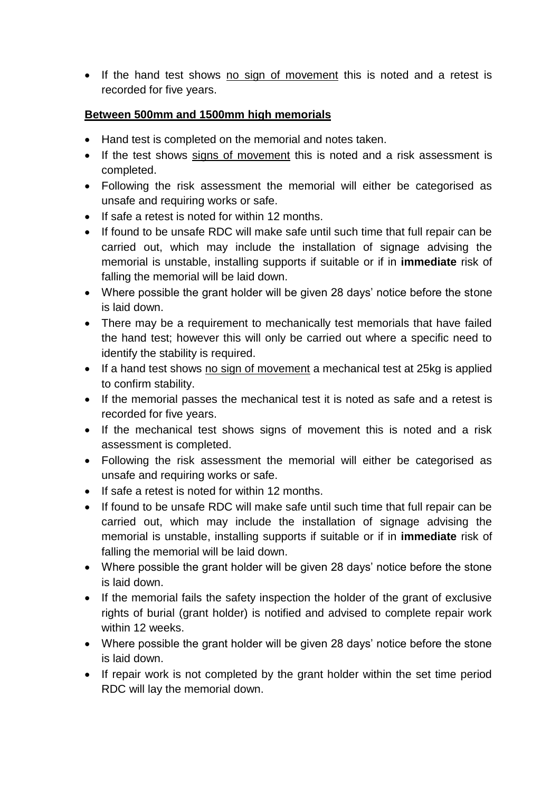• If the hand test shows no sign of movement this is noted and a retest is recorded for five years.

#### **Between 500mm and 1500mm high memorials**

- Hand test is completed on the memorial and notes taken.
- If the test shows signs of movement this is noted and a risk assessment is completed.
- Following the risk assessment the memorial will either be categorised as unsafe and requiring works or safe.
- If safe a retest is noted for within 12 months.
- If found to be unsafe RDC will make safe until such time that full repair can be carried out, which may include the installation of signage advising the memorial is unstable, installing supports if suitable or if in **immediate** risk of falling the memorial will be laid down.
- Where possible the grant holder will be given 28 days' notice before the stone is laid down.
- There may be a requirement to mechanically test memorials that have failed the hand test; however this will only be carried out where a specific need to identify the stability is required.
- If a hand test shows no sign of movement a mechanical test at 25kg is applied to confirm stability.
- If the memorial passes the mechanical test it is noted as safe and a retest is recorded for five years.
- If the mechanical test shows signs of movement this is noted and a risk assessment is completed.
- Following the risk assessment the memorial will either be categorised as unsafe and requiring works or safe.
- If safe a retest is noted for within 12 months.
- If found to be unsafe RDC will make safe until such time that full repair can be carried out, which may include the installation of signage advising the memorial is unstable, installing supports if suitable or if in **immediate** risk of falling the memorial will be laid down.
- Where possible the grant holder will be given 28 days' notice before the stone is laid down.
- If the memorial fails the safety inspection the holder of the grant of exclusive rights of burial (grant holder) is notified and advised to complete repair work within 12 weeks.
- Where possible the grant holder will be given 28 days' notice before the stone is laid down.
- If repair work is not completed by the grant holder within the set time period RDC will lay the memorial down.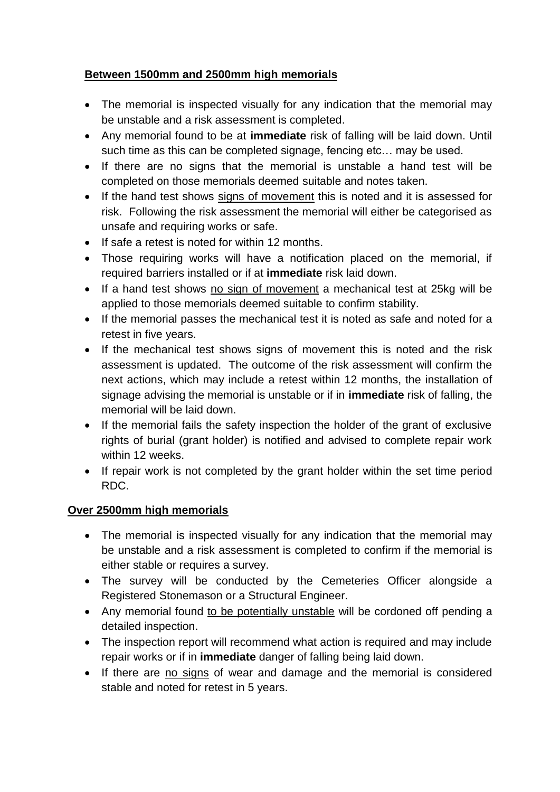## **Between 1500mm and 2500mm high memorials**

- The memorial is inspected visually for any indication that the memorial may be unstable and a risk assessment is completed.
- Any memorial found to be at **immediate** risk of falling will be laid down. Until such time as this can be completed signage, fencing etc… may be used.
- If there are no signs that the memorial is unstable a hand test will be completed on those memorials deemed suitable and notes taken.
- If the hand test shows signs of movement this is noted and it is assessed for risk. Following the risk assessment the memorial will either be categorised as unsafe and requiring works or safe.
- If safe a retest is noted for within 12 months.
- Those requiring works will have a notification placed on the memorial, if required barriers installed or if at **immediate** risk laid down.
- If a hand test shows no sign of movement a mechanical test at 25kg will be applied to those memorials deemed suitable to confirm stability.
- If the memorial passes the mechanical test it is noted as safe and noted for a retest in five years.
- If the mechanical test shows signs of movement this is noted and the risk assessment is updated. The outcome of the risk assessment will confirm the next actions, which may include a retest within 12 months, the installation of signage advising the memorial is unstable or if in **immediate** risk of falling, the memorial will be laid down.
- If the memorial fails the safety inspection the holder of the grant of exclusive rights of burial (grant holder) is notified and advised to complete repair work within 12 weeks.
- If repair work is not completed by the grant holder within the set time period RDC.

## **Over 2500mm high memorials**

- The memorial is inspected visually for any indication that the memorial may be unstable and a risk assessment is completed to confirm if the memorial is either stable or requires a survey.
- The survey will be conducted by the Cemeteries Officer alongside a Registered Stonemason or a Structural Engineer.
- Any memorial found to be potentially unstable will be cordoned off pending a detailed inspection.
- The inspection report will recommend what action is required and may include repair works or if in **immediate** danger of falling being laid down.
- If there are no signs of wear and damage and the memorial is considered stable and noted for retest in 5 years.